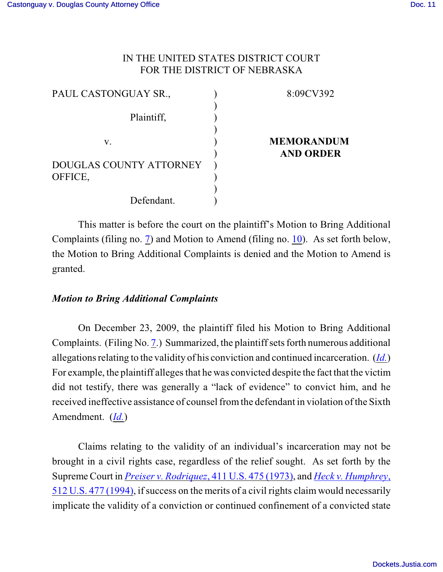## IN THE UNITED STATES DISTRICT COURT FOR THE DISTRICT OF NEBRASKA

| PAUL CASTONGUAY SR.,    | 8:09CV392         |
|-------------------------|-------------------|
|                         |                   |
| Plaintiff,              |                   |
|                         |                   |
| V.                      | <b>MEMORANDUM</b> |
|                         | <b>AND ORDER</b>  |
| DOUGLAS COUNTY ATTORNEY |                   |
| OFFICE,                 |                   |
|                         |                   |
| Defendant.              |                   |

This matter is before the court on the plaintiff's Motion to Bring Additional Complaints (filing no. [7](http://ecf.ned.uscourts.gov/doc1/11301916922)) and Motion to Amend (filing no. [10](http://ecf.ned.uscourts.gov/doc1/11301939127)). As set forth below, the Motion to Bring Additional Complaints is denied and the Motion to Amend is granted.

## *Motion to Bring Additional Complaints*

On December 23, 2009, the plaintiff filed his Motion to Bring Additional Complaints. (Filing No. [7](http://ecf.ned.uscourts.gov/doc1/11301916922).) Summarized, the plaintiff sets forth numerous additional allegations relating to the validity of his conviction and continued incarceration. (*[Id.](https://ecf.ned.uscourts.gov/doc1/11311916922)*) For example, the plaintiff alleges that he was convicted despite the fact that the victim did not testify, there was generally a "lack of evidence" to convict him, and he received ineffective assistance of counsel fromthe defendant in violation of the Sixth Amendment. (*[Id.](https://ecf.ned.uscourts.gov/doc1/11311916922)*)

Claims relating to the validity of an individual's incarceration may not be brought in a civil rights case, regardless of the relief sought. As set forth by the Supreme Court in *[Preiser v. Rodriquez](http://www.westlaw.com/find/default.wl?rs=CLWP3.0&vr=2.0&cite=411+U.S.+475)*, 411 U.S. 475 (1973), and *[Heck v. Humphrey](http://www.westlaw.com/find/default.wl?rs=CLWP3.0&vr=2.0&cite=512+U.S.+477)*, 512 U.S. [477 \(1994\)](http://www.westlaw.com/find/default.wl?rs=CLWP3.0&vr=2.0&cite=512+U.S.+477), if success on the merits of a civil rights claim would necessarily implicate the validity of a conviction or continued confinement of a convicted state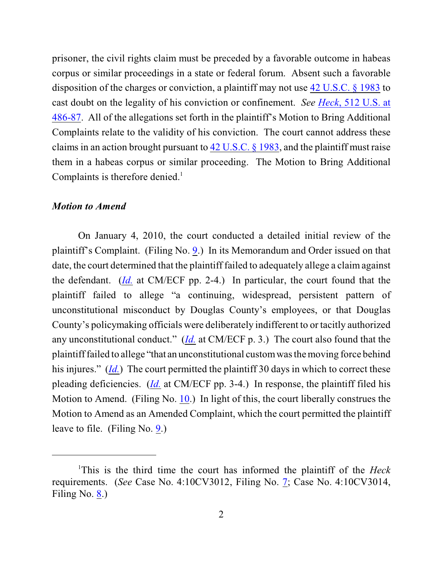prisoner, the civil rights claim must be preceded by a favorable outcome in habeas corpus or similar proceedings in a state or federal forum. Absent such a favorable disposition of the charges or conviction, a plaintiff may not use [42 U.S.C. § 1983](http://www.westlaw.com/find/default.wl?rs=CLWP3.0&vr=2.0&cite=42+USCA+s+1983) to cast doubt on the legality of his conviction or confinement. *See Heck*[, 512 U.S. at](http://www.westlaw.com/find/default.wl?rs=CLWP3.0&vr=2.0&cite=512+U.S.+486) [486-87](http://www.westlaw.com/find/default.wl?rs=CLWP3.0&vr=2.0&cite=512+U.S.+486). All of the allegations set forth in the plaintiff's Motion to Bring Additional Complaints relate to the validity of his conviction. The court cannot address these claims in an action brought pursuant to [42 U.S.C. § 1983](http://www.westlaw.com/find/default.wl?rs=CLWP3.0&vr=2.0&cite=42+USCA+s+1983), and the plaintiff must raise them in a habeas corpus or similar proceeding. The Motion to Bring Additional Complaints is therefore denied.<sup>1</sup>

#### *Motion to Amend*

On January 4, 2010, the court conducted a detailed initial review of the plaintiff's Complaint. (Filing No. [9](http://ecf.ned.uscourts.gov/doc1/11301919322).) In its Memorandum and Order issued on that date, the court determined that the plaintiff failed to adequately allege a claim against the defendant. (*[Id.](https://ecf.ned.uscourts.gov/doc1/11311919322)* at CM/ECF pp. 2-4.) In particular, the court found that the plaintiff failed to allege "a continuing, widespread, persistent pattern of unconstitutional misconduct by Douglas County's employees, or that Douglas County's policymaking officials were deliberately indifferent to or tacitly authorized any unconstitutional conduct." (*[Id.](https://ecf.ned.uscourts.gov/doc1/11311919322)* at CM/ECF p. 3.) The court also found that the plaintiff failed to allege "that an unconstitutional custom was the moving force behind his injures." (*[Id.](https://ecf.ned.uscourts.gov/doc1/11311919322)*) The court permitted the plaintiff 30 days in which to correct these pleading deficiencies. (*[Id.](https://ecf.ned.uscourts.gov/doc1/11311919322)* at CM/ECF pp. 3-4.) In response, the plaintiff filed his Motion to Amend. (Filing No. [10](http://ecf.ned.uscourts.gov/doc1/11301939127).) In light of this, the court liberally construes the Motion to Amend as an Amended Complaint, which the court permitted the plaintiff leave to file. (Filing No. [9](http://ecf.ned.uscourts.gov/doc1/11301919322).)

This is the third time the court has informed the plaintiff of the *Heck* <sup>1</sup> requirements. (*See* Case No. 4:10CV3012, Filing No. [7](https://ecf.ned.uscourts.gov/doc1/11311979909); Case No. 4:10CV3014, Filing No. [8](https://ecf.ned.uscourts.gov/doc1/11311980887).)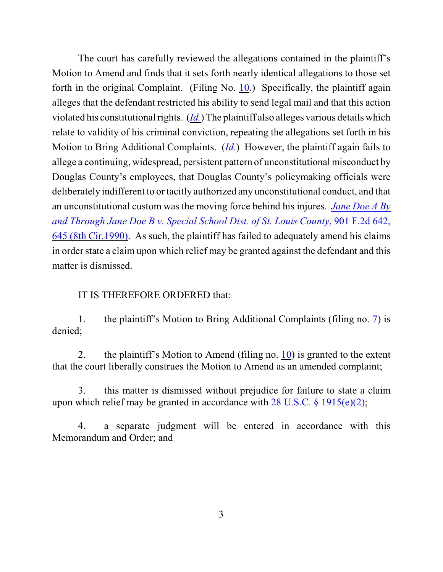The court has carefully reviewed the allegations contained in the plaintiff's Motion to Amend and finds that it sets forth nearly identical allegations to those set forth in the original Complaint. (Filing No. [10](http://ecf.ned.uscourts.gov/doc1/11301939127).) Specifically, the plaintiff again alleges that the defendant restricted his ability to send legal mail and that this action violated his constitutional rights. (*[Id.](https://ecf.ned.uscourts.gov/doc1/11311939127)*) The plaintiff also alleges various details which relate to validity of his criminal conviction, repeating the allegations set forth in his Motion to Bring Additional Complaints. (*[Id.](https://ecf.ned.uscourts.gov/doc1/11311939127)*) However, the plaintiff again fails to allege a continuing, widespread, persistent pattern of unconstitutional misconduct by Douglas County's employees, that Douglas County's policymaking officials were deliberately indifferent to or tacitly authorized any unconstitutional conduct, and that an unconstitutional custom was the moving force behind his injures. *[Jane Doe A By](http://www.westlaw.com/find/default.wl?rs=CLWP3.0&vr=2.0&cite=901+F.2d+642) and Through Jane Doe B v. Special School Dist. [of St. Louis County](http://www.westlaw.com/find/default.wl?rs=CLWP3.0&vr=2.0&cite=901+F.2d+642)*, 901 F.2d 642, [645 \(8th Cir.1990\)](http://www.westlaw.com/find/default.wl?rs=CLWP3.0&vr=2.0&cite=901+F.2d+642). As such, the plaintiff has failed to adequately amend his claims in order state a claim upon which relief may be granted against the defendant and this matter is dismissed.

### IT IS THEREFORE ORDERED that:

1. the plaintiff's Motion to Bring Additional Complaints (filing no. [7](http://ecf.ned.uscourts.gov/doc1/11301916922)) is denied;

2. the plaintiff's Motion to Amend (filing no.  $10$ ) is granted to the extent that the court liberally construes the Motion to Amend as an amended complaint;

3. this matter is dismissed without prejudice for failure to state a claim upon which relief may be granted in accordance with  $28 \text{ U.S.C.}$  §  $1915(e)(2)$ ;

4. a separate judgment will be entered in accordance with this Memorandum and Order; and